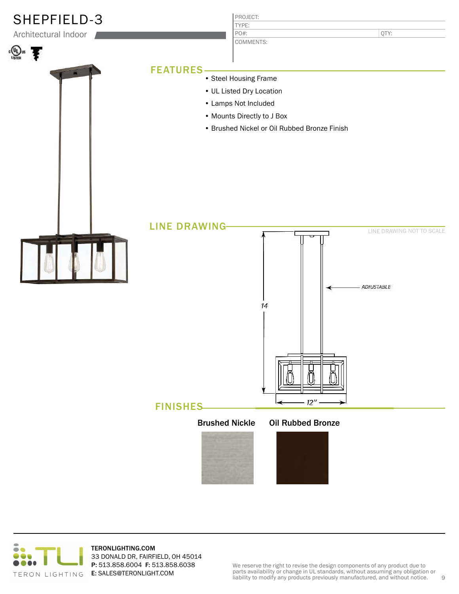

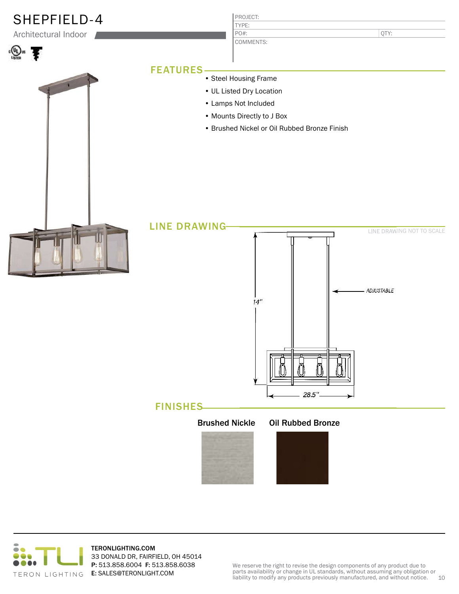

## FINISHES



## Oil Rubbed Bronze

28.5".



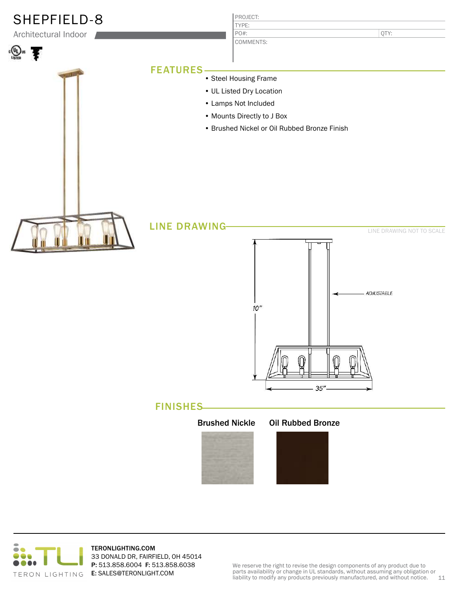